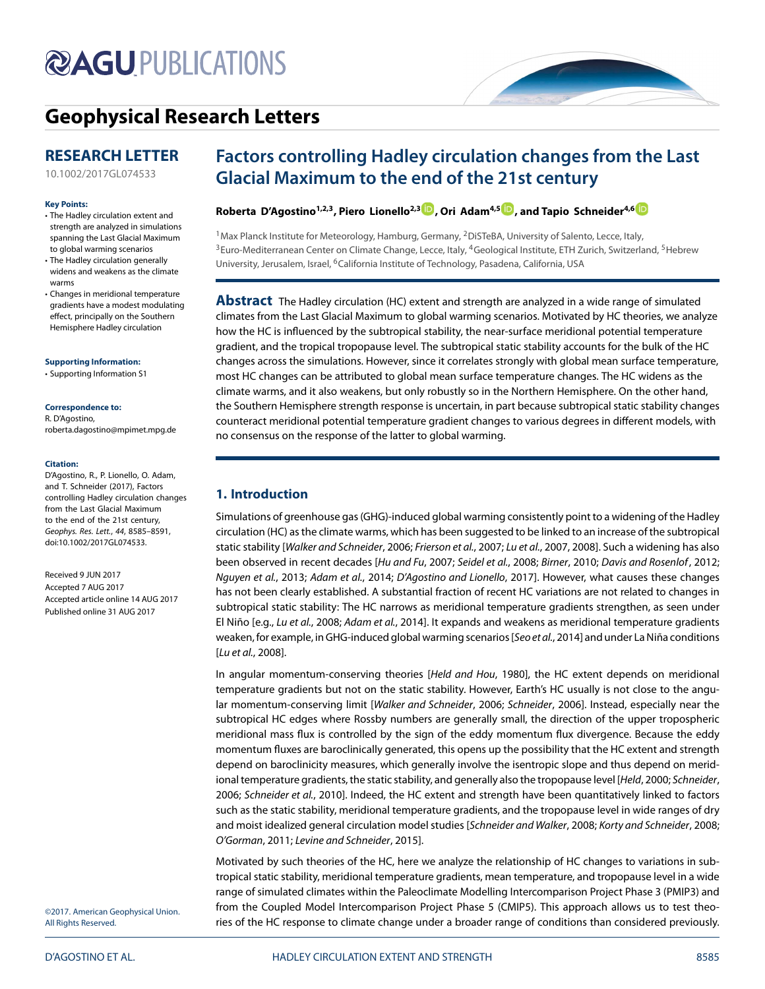# **@AGUPUBLICATIONS**

# **[Geophysical Research Letters](http://onlinelibrary.wiley.com/journal/10.1002/(ISSN)1944-8007)**

## **RESEARCH LETTER**

[10.1002/2017GL074533](http://dx.doi.org/10.1002/2017GL074533)

#### **Key Points:**

- The Hadley circulation extent and strength are analyzed in simulations spanning the Last Glacial Maximum to global warming scenarios
- The Hadley circulation generally widens and weakens as the climate warms
- Changes in meridional temperature gradients have a modest modulating effect, principally on the Southern Hemisphere Hadley circulation

#### **Supporting Information:**

[• Supporting Information S](http://dx.doi.org/10.1002/2017GL074533)1

#### **Correspondence to:**

R. D'Agostino, roberta.dagostino@mpimet.mpg.de

#### **Citation:**

D'Agostino, R., P. Lionello, O. Adam, and T. Schneider (2017), Factors controlling Hadley circulation changes from the Last Glacial Maximum to the end of the 21st century, Geophys. Res. Lett., 44, 8585–8591, doi:10.1002/2017GL074533.

Received 9 JUN 2017 Accepted 7 AUG 2017 Accepted article online 14 AUG 2017 Published online 31 AUG 2017

## **Factors controlling Hadley circulation changes from the Last Glacial Maximum to the end of the 21st century**

## **Roberta D'Agostino1,2,3, Piero Lionello2,[3](http://orcid.org/0000-0002-0779-5681) , Ori Adam4,5 [,](http://orcid.org/0000-0003-0334-0636) and Tapio Schneider4,[6](http://orcid.org/0000-0001-5687-2287)**

<sup>1</sup> Max Planck Institute for Meteorology, Hamburg, Germany, <sup>2</sup> DiSTeBA, University of Salento, Lecce, Italy, <sup>3</sup> Euro-Mediterranean Center on Climate Change, Lecce, Italy, <sup>4</sup>Geological Institute, ETH Zurich, Switzerland, <sup>5</sup>Hebrew University, Jerusalem, Israel, <sup>6</sup>California Institute of Technology, Pasadena, California, USA

**Abstract** The Hadley circulation (HC) extent and strength are analyzed in a wide range of simulated climates from the Last Glacial Maximum to global warming scenarios. Motivated by HC theories, we analyze how the HC is influenced by the subtropical stability, the near-surface meridional potential temperature gradient, and the tropical tropopause level. The subtropical static stability accounts for the bulk of the HC changes across the simulations. However, since it correlates strongly with global mean surface temperature, most HC changes can be attributed to global mean surface temperature changes. The HC widens as the climate warms, and it also weakens, but only robustly so in the Northern Hemisphere. On the other hand, the Southern Hemisphere strength response is uncertain, in part because subtropical static stability changes counteract meridional potential temperature gradient changes to various degrees in different models, with no consensus on the response of the latter to global warming.

## **1. Introduction**

Simulations of greenhouse gas (GHG)-induced global warming consistently point to a widening of the Hadley circulation (HC) as the climate warms, which has been suggested to be linked to an increase of the subtropical static stability [Walker and Schneider, [2006;](#page-6-0) Frierson et al., [2007;](#page-5-0) Lu et al., [2007,](#page-5-1) [2008\]](#page-6-1). Such a widening has also been observed in recent decades [Hu and Fu, [2007;](#page-5-2) Seidel et al., [2008;](#page-6-2) Birner, [2010;](#page-5-3) Davis and Rosenlof, [2012;](#page-5-4) Nguyen et al., [2013;](#page-6-3) Adam et al., [2014;](#page-5-5) D'Agostino and Lionello, [2017\]](#page-5-6). However, what causes these changes has not been clearly established. A substantial fraction of recent HC variations are not related to changes in subtropical static stability: The HC narrows as meridional temperature gradients strengthen, as seen under El Niño [e.g., Lu et al., [2008;](#page-6-1) Adam et al., [2014\]](#page-5-5). It expands and weakens as meridional temperature gradients weaken, for example, in GHG-induced global warming scenarios [Seo et al., [2014\]](#page-6-4) and under La Niña conditions [Lu et al., [2008\]](#page-6-1).

In angular momentum-conserving theories [Held and Hou, [1980\]](#page-5-7), the HC extent depends on meridional temperature gradients but not on the static stability. However, Earth's HC usually is not close to the angu-lar momentum-conserving limit [Walker and Schneider, [2006;](#page-6-0) Schneider, [2006\]](#page-6-5). Instead, especially near the subtropical HC edges where Rossby numbers are generally small, the direction of the upper tropospheric meridional mass flux is controlled by the sign of the eddy momentum flux divergence. Because the eddy momentum fluxes are baroclinically generated, this opens up the possibility that the HC extent and strength depend on baroclinicity measures, which generally involve the isentropic slope and thus depend on merid-ional temperature gradients, the static stability, and generally also the tropopause level [Held, [2000;](#page-5-8) Schneider, [2006;](#page-6-5) Schneider et al., [2010\]](#page-6-6). Indeed, the HC extent and strength have been quantitatively linked to factors such as the static stability, meridional temperature gradients, and the tropopause level in wide ranges of dry and moist idealized general circulation model studies [Schneider and Walker, [2008;](#page-6-7) Korty and Schneider, [2008;](#page-5-9) O'Gorman, [2011;](#page-6-8) Levine and Schneider, [2015\]](#page-5-10).

Motivated by such theories of the HC, here we analyze the relationship of HC changes to variations in subtropical static stability, meridional temperature gradients, mean temperature, and tropopause level in a wide range of simulated climates within the Paleoclimate Modelling Intercomparison Project Phase 3 (PMIP3) and from the Coupled Model Intercomparison Project Phase 5 (CMIP5). This approach allows us to test theories of the HC response to climate change under a broader range of conditions than considered previously.

©2017. American Geophysical Union. All Rights Reserved.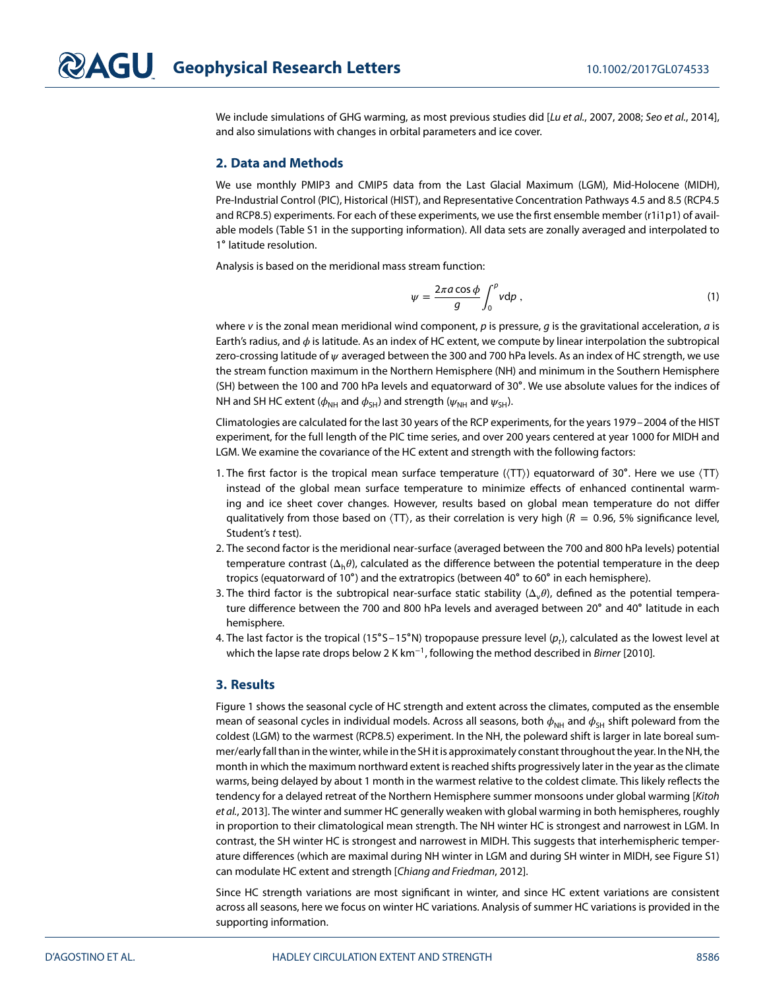We include simulations of GHG warming, as most previous studies did [Lu et al., [2007,](#page-5-1) [2008;](#page-6-1) Seo et al., [2014\]](#page-6-4), and also simulations with changes in orbital parameters and ice cover.

### **2. Data and Methods**

We use monthly PMIP3 and CMIP5 data from the Last Glacial Maximum (LGM), Mid-Holocene (MIDH), Pre-Industrial Control (PIC), Historical (HIST), and Representative Concentration Pathways 4.5 and 8.5 (RCP4.5 and RCP8.5) experiments. For each of these experiments, we use the first ensemble member (r1i1p1) of available models (Table S1 in the supporting information). All data sets are zonally averaged and interpolated to 1∘ latitude resolution.

Analysis is based on the meridional mass stream function:

$$
\psi = \frac{2\pi a \cos \phi}{g} \int_0^p v \, \mathrm{d}p \,,\tag{1}
$$

where v is the zonal mean meridional wind component, p is pressure, q is the gravitational acceleration, q is Earth's radius, and  $\phi$  is latitude. As an index of HC extent, we compute by linear interpolation the subtropical zero-crossing latitude of  $\psi$  averaged between the 300 and 700 hPa levels. As an index of HC strength, we use the stream function maximum in the Northern Hemisphere (NH) and minimum in the Southern Hemisphere (SH) between the 100 and 700 hPa levels and equatorward of 30∘. We use absolute values for the indices of NH and SH HC extent ( $\phi_{NH}$  and  $\phi_{SH}$ ) and strength ( $\psi_{NH}$  and  $\psi_{SH}$ ).

Climatologies are calculated for the last 30 years of the RCP experiments, for the years 1979–2004 of the HIST experiment, for the full length of the PIC time series, and over 200 years centered at year 1000 for MIDH and LGM. We examine the covariance of the HC extent and strength with the following factors:

- 1. The first factor is the tropical mean surface temperature (⟨TT⟩) equatorward of 30∘. Here we use ⟨TT⟩ instead of the global mean surface temperature to minimize effects of enhanced continental warming and ice sheet cover changes. However, results based on global mean temperature do not differ qualitatively from those based on  $\langle TT \rangle$ , as their correlation is very high ( $R = 0.96$ , 5% significance level, Student's t test).
- 2. The second factor is the meridional near-surface (averaged between the 700 and 800 hPa levels) potential temperature contrast  $(\Delta_h \theta)$ , calculated as the difference between the potential temperature in the deep tropics (equatorward of 10∘) and the extratropics (between 40∘ to 60∘ in each hemisphere).
- 3. The third factor is the subtropical near-surface static stability  $(\Delta, \theta)$ , defined as the potential temperature difference between the 700 and 800 hPa levels and averaged between 20∘ and 40∘ latitude in each hemisphere.
- 4. The last factor is the tropical (15°S–15°N) tropopause pressure level  $(p_t)$ , calculated as the lowest level at which the lapse rate drops below 2 K km<sup>-1</sup>, following the method described in *Birner* [\[2010\]](#page-5-3).

#### **3. Results**

Figure [1](#page-2-0) shows the seasonal cycle of HC strength and extent across the climates, computed as the ensemble mean of seasonal cycles in individual models. Across all seasons, both  $\phi_{NH}$  and  $\phi_{SH}$  shift poleward from the coldest (LGM) to the warmest (RCP8.5) experiment. In the NH, the poleward shift is larger in late boreal summer/early fall than in the winter, while in the SH it is approximately constant throughout the year. In the NH, the month in which the maximum northward extent is reached shifts progressively later in the year as the climate warms, being delayed by about 1 month in the warmest relative to the coldest climate. This likely reflects the tendency for a delayed retreat of the Northern Hemisphere summer monsoons under global warming [Kitoh et al., [2013\]](#page-5-11). The winter and summer HC generally weaken with global warming in both hemispheres, roughly in proportion to their climatological mean strength. The NH winter HC is strongest and narrowest in LGM. In contrast, the SH winter HC is strongest and narrowest in MIDH. This suggests that interhemispheric temperature differences (which are maximal during NH winter in LGM and during SH winter in MIDH, see Figure S1) can modulate HC extent and strength [Chiang and Friedman, [2012\]](#page-5-12).

Since HC strength variations are most significant in winter, and since HC extent variations are consistent across all seasons, here we focus on winter HC variations. Analysis of summer HC variations is provided in the supporting information.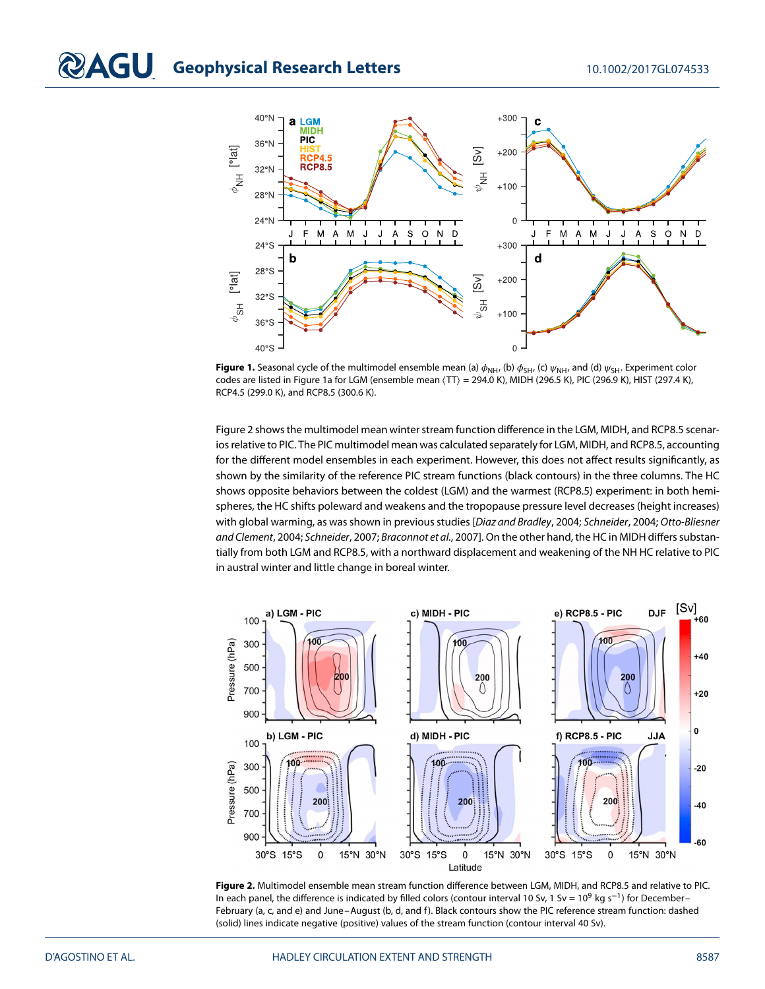

<span id="page-2-0"></span>**Figure 1.** Seasonal cycle of the multimodel ensemble mean (a)  $\phi_{NH}$ , (b)  $\phi_{SH}$ , (c)  $\psi_{NH}$ , and (d)  $\psi_{SH}$ . Experiment color codes are listed in Figure [1a](#page-2-0) for LGM (ensemble mean ⟨TT⟩ = 294.0 K), MIDH (296.5 K), PIC (296.9 K), HIST (297.4 K), RCP4.5 (299.0 K), and RCP8.5 (300.6 K).

Figure [2](#page-2-1) shows the multimodel mean winter stream function difference in the LGM, MIDH, and RCP8.5 scenarios relative to PIC. The PIC multimodel mean was calculated separately for LGM, MIDH, and RCP8.5, accounting for the different model ensembles in each experiment. However, this does not affect results significantly, as shown by the similarity of the reference PIC stream functions (black contours) in the three columns. The HC shows opposite behaviors between the coldest (LGM) and the warmest (RCP8.5) experiment: in both hemispheres, the HC shifts poleward and weakens and the tropopause pressure level decreases (height increases) with global warming, as was shown in previous studies [Diaz and Bradley, [2004;](#page-5-13) Schneider, [2004;](#page-6-9) Otto-Bliesner and Clement, [2004;](#page-6-10) Schneider, [2007;](#page-6-11) Braconnot et al., [2007\]](#page-5-14). On the other hand, the HC in MIDH differs substantially from both LGM and RCP8.5, with a northward displacement and weakening of the NH HC relative to PIC in austral winter and little change in boreal winter.



<span id="page-2-1"></span>**Figure 2.** Multimodel ensemble mean stream function difference between LGM, MIDH, and RCP8.5 and relative to PIC. In each panel, the difference is indicated by filled colors (contour interval 10 Sv, 1 Sv = 10<sup>9</sup> kg s<sup>−1</sup>) for December– February (a, c, and e) and June–August (b, d, and f). Black contours show the PIC reference stream function: dashed (solid) lines indicate negative (positive) values of the stream function (contour interval 40 Sv).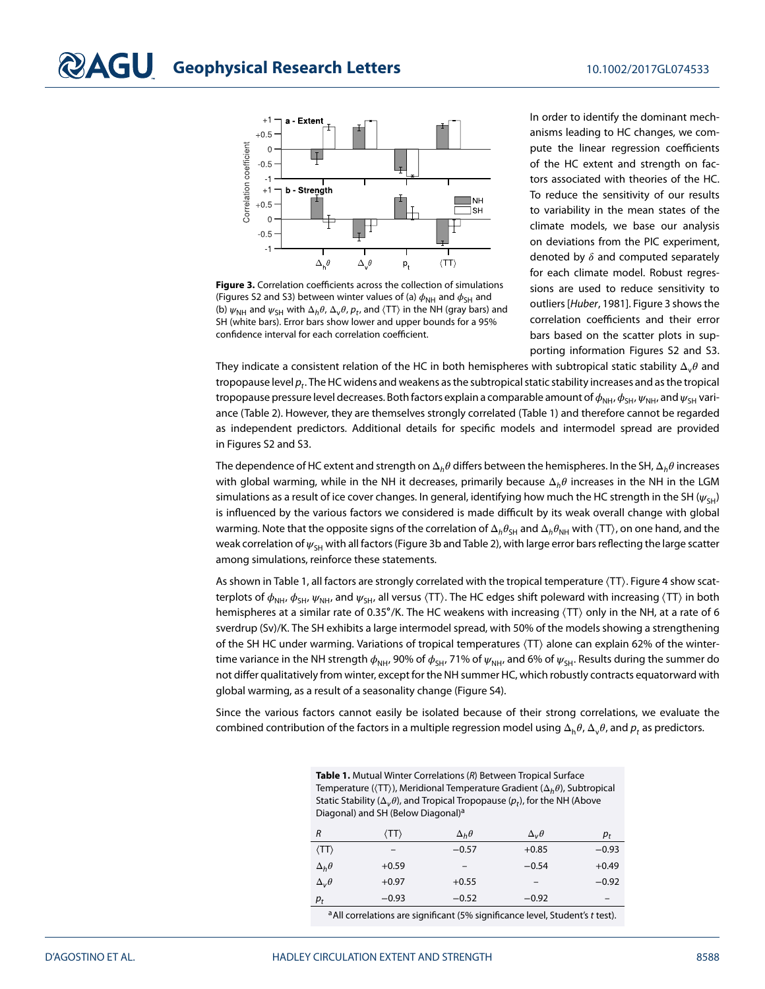

<span id="page-3-0"></span>**Figure 3.** Correlation coefficients across the collection of simulations (Figures S2 and S3) between winter values of (a)  $\phi_{\text{NH}}$  and  $\phi_{\text{SH}}$  and (b)  $\psi_{NH}$  and  $\psi_{SH}$  with  $\Delta_h \theta$ ,  $\Delta_v \theta$ ,  $p_t$ , and  $\langle TT \rangle$  in the NH (gray bars) and SH (white bars). Error bars show lower and upper bounds for a 95% confidence interval for each correlation coefficient.

In order to identify the dominant mechanisms leading to HC changes, we compute the linear regression coefficients of the HC extent and strength on factors associated with theories of the HC. To reduce the sensitivity of our results to variability in the mean states of the climate models, we base our analysis on deviations from the PIC experiment, denoted by  $\delta$  and computed separately for each climate model. Robust regressions are used to reduce sensitivity to outliers [Huber, [1981\]](#page-5-15). Figure [3](#page-3-0) shows the correlation coefficients and their error bars based on the scatter plots in supporting information Figures S2 and S3.

They indicate a consistent relation of the HC in both hemispheres with subtropical static stability  $\Delta_v \theta$  and tropopause level  $p_t$ . The HC widens and weakens as the subtropical static stability increases and as the tropical tropopause pressure level decreases. Both factors explain a comparable amount of  $\phi_{NH}$ ,  $\phi_{SH}$ ,  $\psi_{NH}$ , and  $\psi_{SH}$  variance (Table [2\)](#page-4-0). However, they are themselves strongly correlated (Table [1\)](#page-3-1) and therefore cannot be regarded as independent predictors. Additional details for specific models and intermodel spread are provided in Figures S2 and S3.

The dependence of HC extent and strength on  $\Delta_h \theta$  differs between the hemispheres. In the SH,  $\Delta_h \theta$  increases with global warming, while in the NH it decreases, primarily because  $\Delta_h \theta$  increases in the NH in the LGM simulations as a result of ice cover changes. In general, identifying how much the HC strength in the SH ( $\psi_{\text{SH}}$ ) is influenced by the various factors we considered is made difficult by its weak overall change with global warming. Note that the opposite signs of the correlation of  $\Delta_h\theta_{SH}$  and  $\Delta_h\theta_{NH}$  with  $\langle TT \rangle$ , on one hand, and the weak correlation of  $\psi_{\text{SH}}$  with all factors (Figure [3b](#page-3-0) and Table [2\)](#page-4-0), with large error bars reflecting the large scatter among simulations, reinforce these statements.

As shown in Table [1,](#page-3-1) all factors are strongly correlated with the tropical temperature ⟨TT⟩. Figure [4](#page-4-1) show scatterplots of  $\phi_{NH}$ ,  $\phi_{SH}$ ,  $\psi_{NH}$ , and  $\psi_{SH}$ , all versus  $\langle TT \rangle$ . The HC edges shift poleward with increasing  $\langle TT \rangle$  in both hemispheres at a similar rate of 0.35°/K. The HC weakens with increasing  $\langle TT \rangle$  only in the NH, at a rate of 6 sverdrup (Sv)/K. The SH exhibits a large intermodel spread, with 50% of the models showing a strengthening of the SH HC under warming. Variations of tropical temperatures ⟨TT⟩ alone can explain 62% of the wintertime variance in the NH strength  $\phi_{NH}$ , 90% of  $\phi_{SH}$ , 71% of  $\psi_{NH}$ , and 6% of  $\psi_{SH}$ . Results during the summer do not differ qualitatively from winter, except for the NH summer HC, which robustly contracts equatorward with global warming, as a result of a seasonality change (Figure S4).

Since the various factors cannot easily be isolated because of their strong correlations, we evaluate the combined contribution of the factors in a multiple regression model using  $\Delta_h \theta$ ,  $\Delta_v \theta$ , and  $p$ , as predictors.

<span id="page-3-1"></span>

| Table 1. Mutual Winter Correlations (R) Between Tropical Surface                                         |
|----------------------------------------------------------------------------------------------------------|
| Temperature ( $\langle TT \rangle$ ), Meridional Temperature Gradient ( $\Delta_h \theta$ ), Subtropical |
| Static Stability ( $\Delta_{\nu}\theta$ ), and Tropical Tropopause ( $p_t$ ), for the NH (Above          |
| Diagonal) and SH (Below Diagonal) <sup>a</sup>                                                           |

| R                    | (TT)    | $\Delta_h \theta$ | $\Delta_{\nu}\theta$ | $p_t$   |
|----------------------|---------|-------------------|----------------------|---------|
| $\langle TT \rangle$ | -       | $-0.57$           | $+0.85$              | $-0.93$ |
| $\Delta_h \theta$    | $+0.59$ | $\qquad \qquad$   | $-0.54$              | $+0.49$ |
| $\Delta_{\nu}\theta$ | $+0.97$ | $+0.55$           |                      | $-0.92$ |
| $p_t$                | $-0.93$ | $-0.52$           | $-0.92$              |         |

<sup>a</sup> All correlations are significant (5% significance level, Student's t test).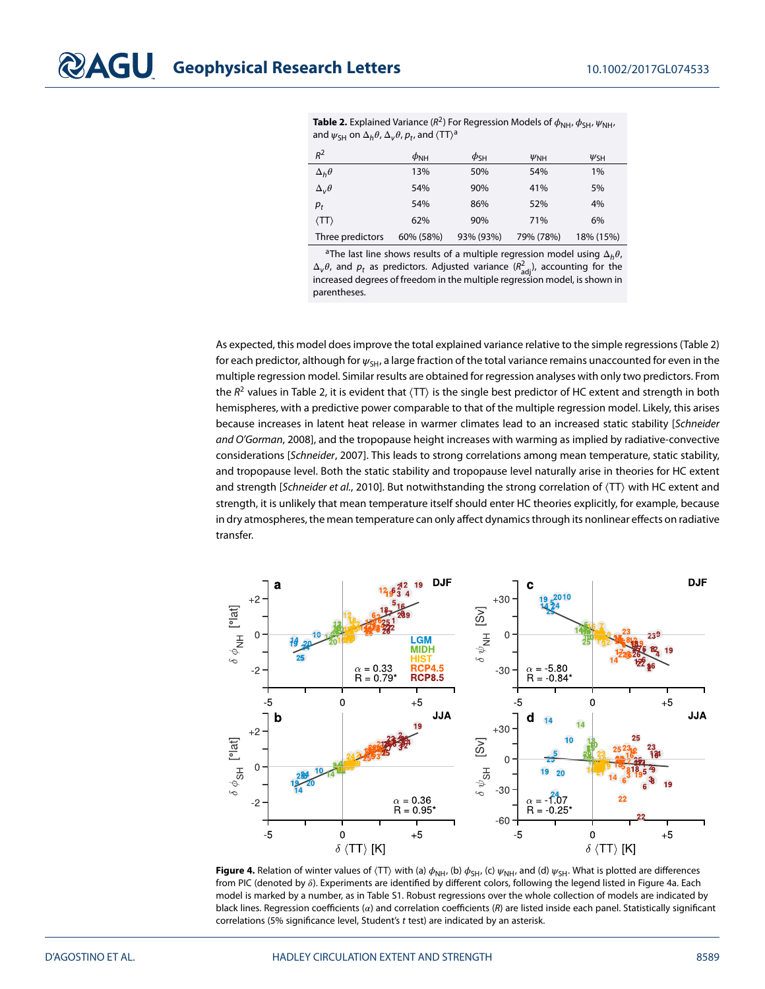<span id="page-4-0"></span>**Table 2.** Explained Variance ( $R^2$ ) For Regression Models of  $\phi_{NH}$ ,  $\phi_{SH}$ ,  $\psi_{NH}$ , [a](#page-4-0)nd  $\psi_{\text{SH}}$  on  $\Delta_h \theta$ ,  $\Delta_v \theta$ ,  $p_t$ , and  $\langle \text{TT} \rangle^{\text{a}}$ 

| $R^2$                | $\phi_{\rm NH}$ | $\phi_{\mathsf{SH}}$ | $\psi_{\rm NH}$ | $\psi_{\text{SH}}$ |
|----------------------|-----------------|----------------------|-----------------|--------------------|
| $\Delta_h \theta$    | 13%             | 50%                  | 54%             | 1%                 |
| $\Delta_{\nu}\theta$ | 54%             | 90%                  | 41%             | 5%                 |
| $p_t$                | 54%             | 86%                  | 52%             | 4%                 |
| $\langle TT \rangle$ | 62%             | 90%                  | 71%             | 6%                 |
| Three predictors     | 60% (58%)       | 93% (93%)            | 79% (78%)       | 18% (15%)          |

<sup>a</sup>The last line shows results of a multiple regression model using  $\Delta_h\theta$ ,  $\Delta_{\rm v}\theta$ , and  $p_{\rm t}$  as predictors. Adjusted variance  $(R_{\rm adj}^2)$ , accounting for the increased degrees of freedom in the multiple regression model, is shown in parentheses.

As expected, this model does improve the total explained variance relative to the simple regressions (Table [2\)](#page-4-0) for each predictor, although for  $\psi_{\text{SH}}$ , a large fraction of the total variance remains unaccounted for even in the multiple regression model. Similar results are obtained for regression analyses with only two predictors. From the  $R^2$  values in Table [2,](#page-4-0) it is evident that  $\langle TT \rangle$  is the single best predictor of HC extent and strength in both hemispheres, with a predictive power comparable to that of the multiple regression model. Likely, this arises because increases in latent heat release in warmer climates lead to an increased static stability [Schneider and O'Gorman, [2008\]](#page-6-12), and the tropopause height increases with warming as implied by radiative-convective considerations [Schneider, [2007\]](#page-6-11). This leads to strong correlations among mean temperature, static stability, and tropopause level. Both the static stability and tropopause level naturally arise in theories for HC extent and strength [Schneider et al., [2010\]](#page-6-6). But notwithstanding the strong correlation of  $\langle TT \rangle$  with HC extent and strength, it is unlikely that mean temperature itself should enter HC theories explicitly, for example, because in dry atmospheres, the mean temperature can only affect dynamics through its nonlinear effects on radiative transfer.



<span id="page-4-1"></span>**Figure 4.** Relation of winter values of  $\langle TT \rangle$  with (a)  $\phi_{NH}$ , (b)  $\phi_{SH}$ , (c)  $\psi_{NH}$ , and (d)  $\psi_{SH}$ . What is plotted are differences from PIC (denoted by  $\delta$ ). Experiments are identified by different colors, following the legend listed in Figure [4a](#page-4-1). Each model is marked by a number, as in Table S1. Robust regressions over the whole collection of models are indicated by black lines. Regression coefficients ( $\alpha$ ) and correlation coefficients (R) are listed inside each panel. Statistically significant correlations (5% significance level, Student's t test) are indicated by an asterisk.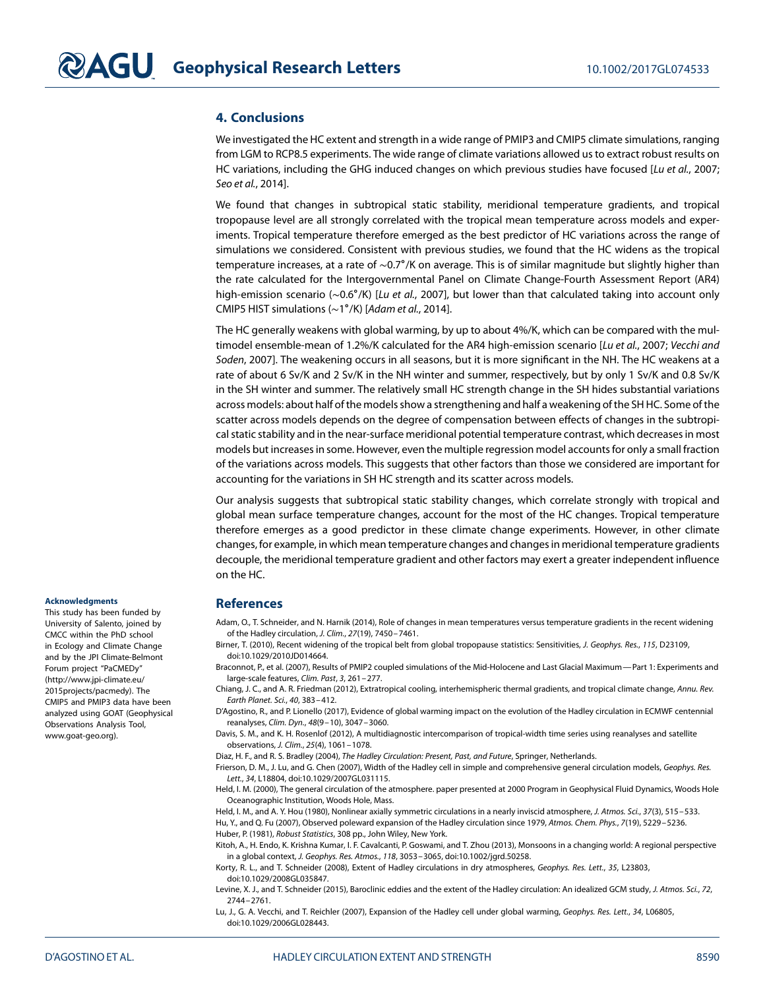## **4. Conclusions**

We investigated the HC extent and strength in a wide range of PMIP3 and CMIP5 climate simulations, ranging from LGM to RCP8.5 experiments. The wide range of climate variations allowed us to extract robust results on HC variations, including the GHG induced changes on which previous studies have focused [Lu et al., [2007;](#page-5-1) Seo et al., [2014\]](#page-6-4).

We found that changes in subtropical static stability, meridional temperature gradients, and tropical tropopause level are all strongly correlated with the tropical mean temperature across models and experiments. Tropical temperature therefore emerged as the best predictor of HC variations across the range of simulations we considered. Consistent with previous studies, we found that the HC widens as the tropical temperature increases, at a rate of ∼0.7∘/K on average. This is of similar magnitude but slightly higher than the rate calculated for the Intergovernmental Panel on Climate Change-Fourth Assessment Report (AR4) high-emission scenario (~0.6°/K) [Lu et al., [2007\]](#page-5-1), but lower than that calculated taking into account only CMIP5 HIST simulations (∼1∘/K) [Adam et al., [2014\]](#page-5-5).

The HC generally weakens with global warming, by up to about 4%/K, which can be compared with the mul-timodel ensemble-mean of 1.2%/K calculated for the AR4 high-emission scenario [Lu et al., [2007;](#page-5-1) Vecchi and Soden, [2007\]](#page-6-13). The weakening occurs in all seasons, but it is more significant in the NH. The HC weakens at a rate of about 6 Sv/K and 2 Sv/K in the NH winter and summer, respectively, but by only 1 Sv/K and 0.8 Sv/K in the SH winter and summer. The relatively small HC strength change in the SH hides substantial variations across models: about half of the models show a strengthening and half a weakening of the SH HC. Some of the scatter across models depends on the degree of compensation between effects of changes in the subtropical static stability and in the near-surface meridional potential temperature contrast, which decreases in most models but increases in some. However, even the multiple regression model accounts for only a small fraction of the variations across models. This suggests that other factors than those we considered are important for accounting for the variations in SH HC strength and its scatter across models.

Our analysis suggests that subtropical static stability changes, which correlate strongly with tropical and global mean surface temperature changes, account for the most of the HC changes. Tropical temperature therefore emerges as a good predictor in these climate change experiments. However, in other climate changes, for example, in which mean temperature changes and changes in meridional temperature gradients decouple, the meridional temperature gradient and other factors may exert a greater independent influence on the HC.

## **References**

<span id="page-5-5"></span>Adam, O., T. Schneider, and N. Harnik (2014), Role of changes in mean temperatures versus temperature gradients in the recent widening of the Hadley circulation, J. Clim., 27(19), 7450–7461.

<span id="page-5-3"></span>Birner, T. (2010), Recent widening of the tropical belt from global tropopause statistics: Sensitivities, J. Geophys. Res., 115, D23109, doi[:10.1029/2010JD014664.](http://dx.doi.org/10.1029/2010JD014664)

<span id="page-5-14"></span>Braconnot, P., et al. (2007), Results of PMIP2 coupled simulations of the Mid-Holocene and Last Glacial Maximum—Part 1: Experiments and large-scale features, Clim. Past, 3, 261–277.

<span id="page-5-12"></span>Chiang, J. C., and A. R. Friedman (2012), Extratropical cooling, interhemispheric thermal gradients, and tropical climate change, Annu. Rev. Earth Planet. Sci., 40, 383–412.

<span id="page-5-6"></span>D'Agostino, R., and P. Lionello (2017), Evidence of global warming impact on the evolution of the Hadley circulation in ECMWF centennial reanalyses, Clim. Dyn., 48(9–10), 3047–3060.

<span id="page-5-4"></span>Davis, S. M., and K. H. Rosenlof (2012), A multidiagnostic intercomparison of tropical-width time series using reanalyses and satellite observations, J. Clim., 25(4), 1061–1078.

<span id="page-5-13"></span><span id="page-5-0"></span>Diaz, H. F., and R. S. Bradley (2004), The Hadley Circulation: Present, Past, and Future, Springer, Netherlands.

Frierson, D. M., J. Lu, and G. Chen (2007), Width of the Hadley cell in simple and comprehensive general circulation models, Geophys. Res. Lett., 34, L18804, doi[:10.1029/2007GL031115.](http://dx.doi.org/10.1029/2007GL031115)

<span id="page-5-8"></span>Held, I. M. (2000), The general circulation of the atmosphere. paper presented at 2000 Program in Geophysical Fluid Dynamics, Woods Hole Oceanographic Institution, Woods Hole, Mass.

<span id="page-5-15"></span><span id="page-5-7"></span><span id="page-5-2"></span>Held, I. M., and A. Y. Hou (1980), Nonlinear axially symmetric circulations in a nearly inviscid atmosphere, J. Atmos. Sci., 37(3), 515–533. Hu, Y., and Q. Fu (2007), Observed poleward expansion of the Hadley circulation since 1979, Atmos. Chem. Phys., 7(19), 5229–5236. Huber, P. (1981), Robust Statistics, 308 pp., John Wiley, New York.

<span id="page-5-11"></span>Kitoh, A., H. Endo, K. Krishna Kumar, I. F. Cavalcanti, P. Goswami, and T. Zhou (2013), Monsoons in a changing world: A regional perspective in a global context, J. Geophys. Res. Atmos., 118, 3053–3065, doi[:10.1002/jgrd.50258.](http://dx.doi.org/10.1002/jgrd.50258)

<span id="page-5-9"></span>Korty, R. L., and T. Schneider (2008), Extent of Hadley circulations in dry atmospheres, Geophys. Res. Lett., 35, L23803, doi[:10.1029/2008GL035847.](http://dx.doi.org/10.1029/2008GL035847)

<span id="page-5-10"></span>Levine, X. J., and T. Schneider (2015), Baroclinic eddies and the extent of the Hadley circulation: An idealized GCM study, J. Atmos. Sci., 72, 2744–2761.

<span id="page-5-1"></span>Lu, J., G. A. Vecchi, and T. Reichler (2007), Expansion of the Hadley cell under global warming, Geophys. Res. Lett., 34, L06805, doi[:10.1029/2006GL028443.](http://dx.doi.org/10.1029/2006GL028443)

#### **Acknowledgments**

This study has been funded by University of Salento, joined by CMCC within the PhD school in Ecology and Climate Change and by the JPI Climate-Belmont Forum project "PaCMEDy" [\(http://www.jpi-climate.eu/](http://www.jpi-climate.eu/2015projects/pacmedy) [2015projects/pacmedy\)](http://www.jpi-climate.eu/2015projects/pacmedy). The CMIP5 and PMIP3 data have been analyzed using GOAT (Geophysical Observations Analysis Tool, [www.goat-geo.org\)](http://www.goat-geo.org).